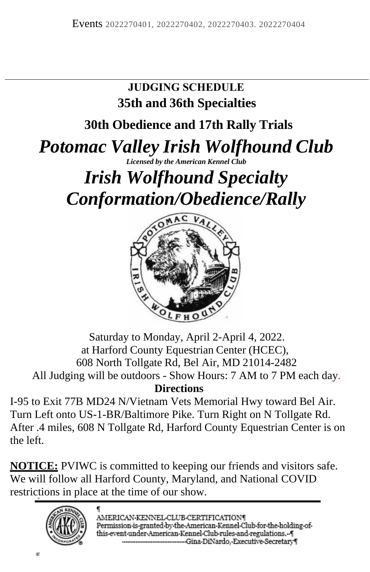### **JUDGING SCHEDULE 35th and 36th Specialties**

**30th Obedience and 17th Rally Trials** 

# *Potomac Valley Irish Wolfhound Club*

*Licensed by the American Kennel Club* 

# *Irish Wolfhound Specialty Conformation/Obedience/Rally*



### Saturday to Monday, April 2-April 4, 2022. at Harford County Equestrian Center (HCEC), 608 North Tollgate Rd, Bel Air, MD 21014-2482 All Judging will be outdoors - Show Hours: 7 AM to 7 PM each day. **Directions**

I-95 to Exit 77B MD24 N/Vietnam Vets Memorial Hwy toward Bel Air. Turn Left onto US-1-BR/Baltimore Pike. Turn Right on N Tollgate Rd. After .4 miles, 608 N Tollgate Rd, Harford County Equestrian Center is on the left.

**NOTICE:** PVIWC is committed to keeping our friends and visitors safe. We will follow all Harford County, Maryland, and National COVID restrictions in place at the time of our show.

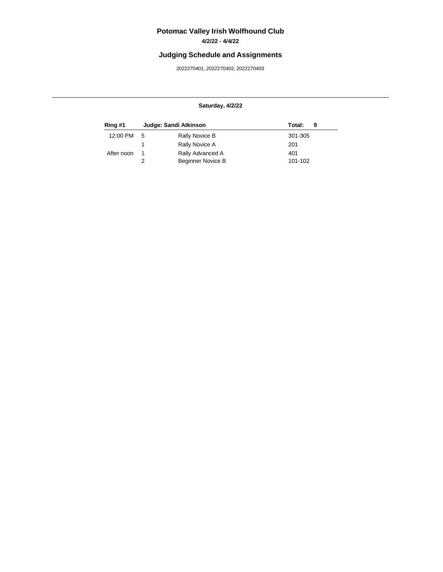## **Potomac Valley Irish Wolfhound Club**

### **4/2/22 - 4/4/22**

### **Judging Schedule and Assignments**

2022270401, 2022270402, 2022270403

#### **Saturday, 4/2/22**

| Ring #1    |     | Judge: Sandi Atkinson    | Total:<br>9 |
|------------|-----|--------------------------|-------------|
| 12:00 PM   | - 5 | Rally Novice B           | 301-305     |
|            |     | Rally Novice A           | 201         |
| After noon | -1  | Rally Advanced A         | 401         |
|            |     | <b>Beginner Novice B</b> | 101-102     |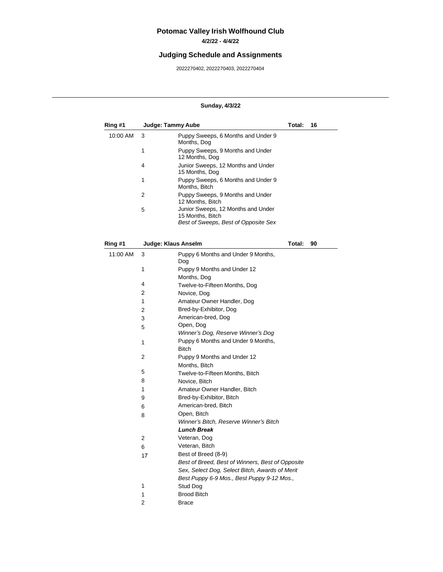# **Potomac Valley Irish Wolfhound Club**

### **4/2/22 - 4/4/22**

### **Judging Schedule and Assignments**

2022270402, 2022270403, 2022270404

#### **Sunday, 4/3/22**

| Ring #1  | Judge: Tammy Aube   |                                                                                                | Total: | 16 |
|----------|---------------------|------------------------------------------------------------------------------------------------|--------|----|
| 10:00 AM | 3                   | Puppy Sweeps, 6 Months and Under 9<br>Months, Dog                                              |        |    |
|          | 1                   | Puppy Sweeps, 9 Months and Under<br>12 Months, Dog                                             |        |    |
|          | 4                   | Junior Sweeps, 12 Months and Under<br>15 Months, Dog                                           |        |    |
|          | 1                   | Puppy Sweeps, 6 Months and Under 9<br>Months, Bitch                                            |        |    |
|          | 2                   | Puppy Sweeps, 9 Months and Under<br>12 Months, Bitch                                           |        |    |
|          | 5                   | Junior Sweeps, 12 Months and Under<br>15 Months, Bitch<br>Best of Sweeps, Best of Opposite Sex |        |    |
|          |                     |                                                                                                |        |    |
| Ring #1  | Judge: Klaus Anselm |                                                                                                | Total: | 90 |
| 11:00 AM | 3                   | Puppy 6 Months and Under 9 Months,<br>Dog                                                      |        |    |
|          | 1                   | Puppy 9 Months and Under 12<br>Months, Dog                                                     |        |    |
|          | 4                   | Twelve-to-Fifteen Months, Dog                                                                  |        |    |
|          | 2                   | Novice, Dog                                                                                    |        |    |
|          | 1                   | Amateur Owner Handler, Dog                                                                     |        |    |
|          | 2                   | Bred-by-Exhibitor, Dog                                                                         |        |    |
|          | 3                   | American-bred, Dog                                                                             |        |    |
|          | 5                   | Open, Dog                                                                                      |        |    |
|          |                     | Winner's Dog, Reserve Winner's Dog                                                             |        |    |
|          | 1                   | Puppy 6 Months and Under 9 Months,<br><b>Bitch</b>                                             |        |    |
|          | 2                   | Puppy 9 Months and Under 12<br>Months, Bitch                                                   |        |    |
|          | 5                   | Twelve-to-Fifteen Months, Bitch                                                                |        |    |
|          | 8                   | Novice, Bitch                                                                                  |        |    |
|          | 1                   | Amateur Owner Handler, Bitch                                                                   |        |    |
|          | 9                   | Bred-by-Exhibitor, Bitch                                                                       |        |    |
|          | 6                   | American-bred, Bitch                                                                           |        |    |
|          | 8                   | Open, Bitch                                                                                    |        |    |
|          |                     | Winner's Bitch, Reserve Winner's Bitch                                                         |        |    |
|          |                     | Lunch Break                                                                                    |        |    |
|          | 2                   | Veteran, Dog                                                                                   |        |    |
|          | 6                   | Veteran, Bitch                                                                                 |        |    |
|          | 17                  | Best of Breed (8-9)                                                                            |        |    |
|          |                     | Best of Breed, Best of Winners, Best of Opposite                                               |        |    |
|          |                     | Sex, Select Dog, Select Bitch, Awards of Merit                                                 |        |    |
|          |                     | Best Puppy 6-9 Mos., Best Puppy 9-12 Mos.,                                                     |        |    |
|          | 1                   | Stud Dog                                                                                       |        |    |
|          | 1                   | <b>Brood Bitch</b>                                                                             |        |    |
|          | 2                   | Brace                                                                                          |        |    |